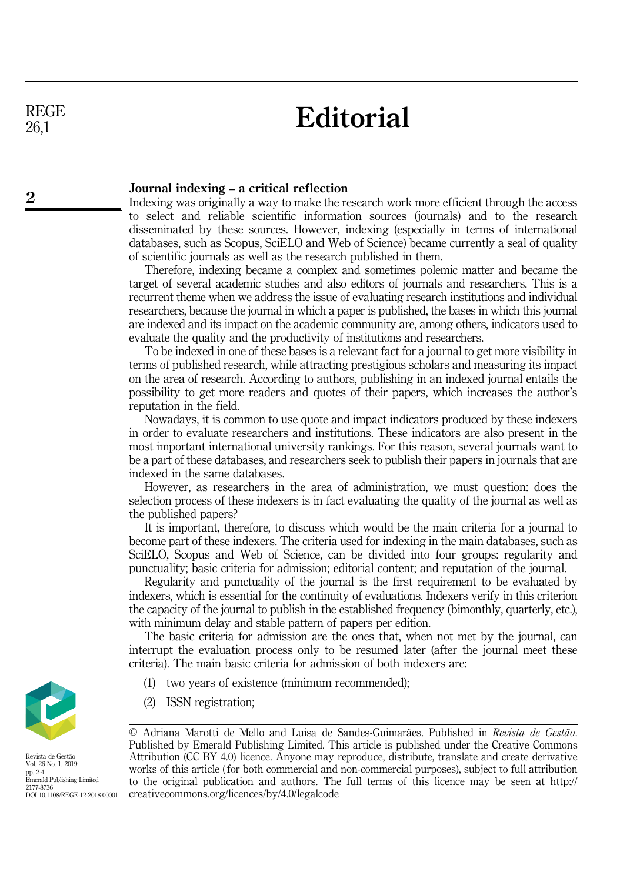REGE 26,1

2

## **Editorial**

## Journal indexing – a critical reflection

Indexing was originally a way to make the research work more efficient through the access to select and reliable scientific information sources (journals) and to the research disseminated by these sources. However, indexing (especially in terms of international databases, such as Scopus, SciELO and Web of Science) became currently a seal of quality of scientific journals as well as the research published in them.

Therefore, indexing became a complex and sometimes polemic matter and became the target of several academic studies and also editors of journals and researchers. This is a recurrent theme when we address the issue of evaluating research institutions and individual researchers, because the journal in which a paper is published, the bases in which this journal are indexed and its impact on the academic community are, among others, indicators used to evaluate the quality and the productivity of institutions and researchers.

To be indexed in one of these bases is a relevant fact for a journal to get more visibility in terms of published research, while attracting prestigious scholars and measuring its impact on the area of research. According to authors, publishing in an indexed journal entails the possibility to get more readers and quotes of their papers, which increases the author's reputation in the field.

Nowadays, it is common to use quote and impact indicators produced by these indexers in order to evaluate researchers and institutions. These indicators are also present in the most important international university rankings. For this reason, several journals want to be a part of these databases, and researchers seek to publish their papers in journals that are indexed in the same databases.

However, as researchers in the area of administration, we must question: does the selection process of these indexers is in fact evaluating the quality of the journal as well as the published papers?

It is important, therefore, to discuss which would be the main criteria for a journal to become part of these indexers. The criteria used for indexing in the main databases, such as SciELO, Scopus and Web of Science, can be divided into four groups: regularity and punctuality; basic criteria for admission; editorial content; and reputation of the journal.

Regularity and punctuality of the journal is the first requirement to be evaluated by indexers, which is essential for the continuity of evaluations. Indexers verify in this criterion the capacity of the journal to publish in the established frequency (bimonthly, quarterly, etc.), with minimum delay and stable pattern of papers per edition.

The basic criteria for admission are the ones that, when not met by the journal, can interrupt the evaluation process only to be resumed later (after the journal meet these criteria). The main basic criteria for admission of both indexers are:

- (1) two years of existence (minimum recommended);
- (2) ISSN registration;

© Adriana Marotti de Mello and Luisa de Sandes-Guimarães. Published in Revista de Gestão. Published by Emerald Publishing Limited. This article is published under the Creative Commons Attribution (CC BY 4.0) licence. Anyone may reproduce, distribute, translate and create derivative works of this article ( for both commercial and non-commercial purposes), subject to full attribution to the original publication and authors. The full terms of this licence may be seen at [http://](http://creativecommons.org/licences/by/4.0/legalcode) [creativecommons.org/licences/by/4.0/legalcode](http://creativecommons.org/licences/by/4.0/legalcode)



Revista de Gestão Vol. 26 No. 1, 2019 pp. 2-4 Emerald Publishing Limited 2177-8736 DOI 10.1108/REGE-12-2018-00001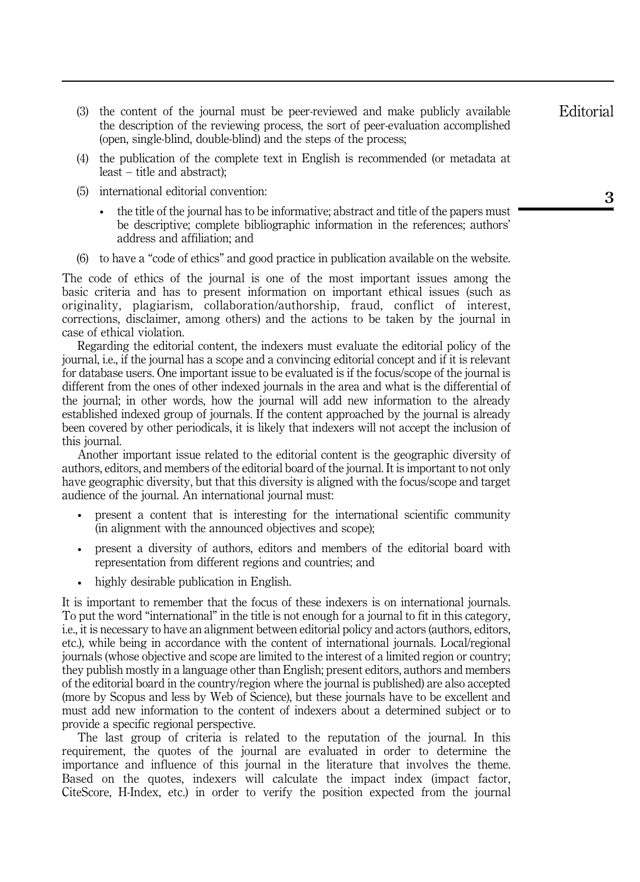- (3) the content of the journal must be peer-reviewed and make publicly available the description of the reviewing process, the sort of peer-evaluation accomplished (open, single-blind, double-blind) and the steps of the process;
- (4) the publication of the complete text in English is recommended (or metadata at least – title and abstract);
- (5) international editorial convention:
	- the title of the journal has to be informative; abstract and title of the papers must be descriptive; complete bibliographic information in the references; authors' address and affiliation; and
- (6) to have a "code of ethics" and good practice in publication available on the website.

The code of ethics of the journal is one of the most important issues among the basic criteria and has to present information on important ethical issues (such as originality, plagiarism, collaboration/authorship, fraud, conflict of interest, corrections, disclaimer, among others) and the actions to be taken by the journal in case of ethical violation.

Regarding the editorial content, the indexers must evaluate the editorial policy of the journal, i.e., if the journal has a scope and a convincing editorial concept and if it is relevant for database users. One important issue to be evaluated is if the focus/scope of the journal is different from the ones of other indexed journals in the area and what is the differential of the journal; in other words, how the journal will add new information to the already established indexed group of journals. If the content approached by the journal is already been covered by other periodicals, it is likely that indexers will not accept the inclusion of this journal.

Another important issue related to the editorial content is the geographic diversity of authors, editors, and members of the editorial board of the journal. It is important to not only have geographic diversity, but that this diversity is aligned with the focus/scope and target audience of the journal. An international journal must:

- present a content that is interesting for the international scientific community (in alignment with the announced objectives and scope);
- present a diversity of authors, editors and members of the editorial board with representation from different regions and countries; and
- highly desirable publication in English.

It is important to remember that the focus of these indexers is on international journals. To put the word "international" in the title is not enough for a journal to fit in this category, i.e., it is necessary to have an alignment between editorial policy and actors (authors, editors, etc.), while being in accordance with the content of international journals. Local/regional journals (whose objective and scope are limited to the interest of a limited region or country; they publish mostly in a language other than English; present editors, authors and members of the editorial board in the country/region where the journal is published) are also accepted (more by Scopus and less by Web of Science), but these journals have to be excellent and must add new information to the content of indexers about a determined subject or to provide a specific regional perspective.

The last group of criteria is related to the reputation of the journal. In this requirement, the quotes of the journal are evaluated in order to determine the importance and influence of this journal in the literature that involves the theme. Based on the quotes, indexers will calculate the impact index (impact factor, CiteScore, H-Index, etc.) in order to verify the position expected from the journal Editorial

3